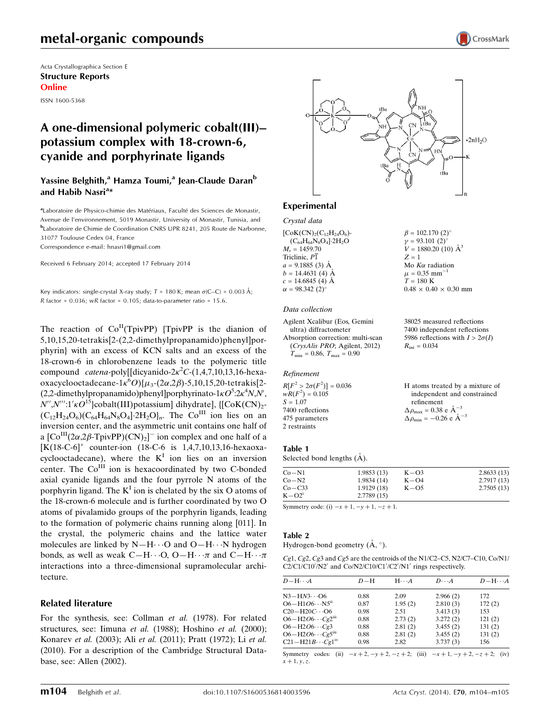# metal-organic compounds

Acta Crystallographica Section E Structure Reports Online ISSN 1600-5368

# A one-dimensional polymeric cobalt(III)– potassium complex with 18-crown-6, cyanide and porphyrinate ligands

### Yassine Belghith,<sup>a</sup> Hamza Toumi,<sup>a</sup> Jean-Claude Daran<sup>b</sup> and Habib Nasri<sup>a</sup>\*

aLaboratoire de Physico-chimie des Matériaux, Faculté des Sciences de Monastir, Avenue de l'environnement, 5019 Monastir, University of Monastir, Tunisia, and b Laboratoire de Chimie de Coordination CNRS UPR 8241, 205 Route de Narbonne, 31077 Toulouse Cedex 04, France

Correspondence e-mail: [hnasri1@gmail.com](https://scripts.iucr.org/cgi-bin/cr.cgi?rm=pdfbb&cnor=xu5770&bbid=BB13)

Received 6 February 2014; accepted 17 February 2014

Key indicators: single-crystal X-ray study;  $T = 180$  K; mean  $\sigma$ (C–C) = 0.003 Å;  $R$  factor = 0.036; w $R$  factor = 0.105; data-to-parameter ratio = 15.6.

The reaction of  $Co<sup>H</sup>(TpivPP)$  {TpivPP is the dianion of 5,10,15,20-tetrakis[2-(2,2-dimethylpropanamido)phenyl]porphyrin} with an excess of KCN salts and an excess of the 18-crown-6 in chlorobenzene leads to the polymeric title compound *catena*-poly[[dicyanido-2 $\kappa^2 C$ -(1,4,7,10,13,16-hexaoxacyclooctadecane-1 $\kappa^6$ O){ $\mu_3$ -(2 $\alpha$ ,2 $\beta$ )-5,10,15,20-tetrakis[2-(2,2-dimethylpropanamido)phenyl]porphyrinato-1 $\kappa O^{5}$ :2 $\kappa^{4}N$ ,N',  $N''$ , $N'''$ :1' $\kappa O^{15}$ }cobalt(III)potassium] dihydrate], {[CoK(CN)<sub>2</sub>- $(C_{12}H_{24}O_6)(C_{64}H_{64}N_8O_4]\cdot 2H_2O_h$ . The Co<sup>III</sup> ion lies on an inversion center, and the asymmetric unit contains one half of a  $\left[\text{Co}^{\text{III}}(2\alpha,2\beta\text{-TpivPP})(\text{CN})_2\right]$  ion complex and one half of a [K(18-C-6]<sup>+</sup> counter-ion (18-C-6 is 1,4,7,10,13,16-hexaoxacyclooctadecane), where the  $K<sup>I</sup>$  ion lies on an inversion center. The Co<sup>III</sup> ion is hexacoordinated by two C-bonded axial cyanide ligands and the four pyrrole N atoms of the porphyrin ligand. The  $K^I$  ion is chelated by the six O atoms of the 18-crown-6 molecule and is further coordinated by two O atoms of pivalamido groups of the porphyrin ligands, leading to the formation of polymeric chains running along [011]. In the crystal, the polymeric chains and the lattice water molecules are linked by  $N-H\cdots O$  and  $O-H\cdots N$  hydrogen bonds, as well as weak  $C-H\cdots O$ ,  $O-H\cdots \pi$  and  $C-H\cdots \pi$ interactions into a three-dimensional supramolecular architecture.

### Related literature

For the synthesis, see: Collman et al. (1978). For related structures, see: Iimuna et al. (1988); Hoshino et al. (2000); Konarev et al. (2003); Ali et al. (2011); Pratt (1972); Li et al. (2010). For a description of the Cambridge Structural Database, see: Allen (2002).



 $\beta = 102.170$  (2)<sup>o</sup>  $v = 93.101$  (2)<sup>o</sup>  $V = 1880.20$  (10)  $\AA^3$ 

Mo  $K\alpha$  radiation  $\mu = 0.35$  mm<sup>-1</sup>  $T = 180 \text{ K}$ 

 $R_{\text{int}} = 0.034$ 

 $0.48 \times 0.40 \times 0.30$  mm

38025 measured reflections 7400 independent reflections 5986 reflections with  $I > 2\sigma(I)$ 

 $Z = 1$ 

### Experimental

Crystal data  $[CoK(CN)_{2}(C_{12}H_{24}O_{6})$ - $(C_{64}H_{64}N_8O_4]$ -2H<sub>2</sub>O  $M<sub>r</sub> = 1459.70$ Triclinic,  $P\overline{1}$  $a = 9.1885(3)$  Å  $b = 14.4631(4)$  Å  $c = 14.6845(4)$  Å  $\alpha = 98.342 \ (2)^{\circ}$ 

#### Data collection

Agilent Xcalibur (Eos, Gemini ultra) diffractometer Absorption correction: multi-scan (CrysAlis PRO; Agilent, 2012)  $T_{\text{min}} = 0.86, T_{\text{max}} = 0.90$ 

#### Refinement

| $R[F^2 > 2\sigma(F^2)] = 0.036$ | H atoms treated by a mixture of                    |
|---------------------------------|----------------------------------------------------|
| $wR(F^2) = 0.105$               | independent and constrained                        |
| $S = 1.07$                      | refinement                                         |
| 7400 reflections                | $\Delta \rho_{\text{max}} = 0.38 \text{ e A}^{-3}$ |
| 475 parameters                  | $\Delta \rho_{\text{min}} = -0.26$ e $\AA^{-3}$    |
| 2 restraints                    |                                                    |

### Table 1

Selected bond lengths  $(\AA)$ .

| Co-N1     | 1.9853(13) | $K - O3$ | 2.8633(13) |
|-----------|------------|----------|------------|
| $Co-N2$   | 1.9834(14) | $K - O4$ | 2.7917(13) |
| $Co-C33$  | 1.9129(18) | $K - O5$ | 2.7505(13) |
| $K - O2i$ | 2.7789(15) |          |            |
|           |            |          |            |

Symmetry code: (i)  $-x + 1, -y + 1, -z + 1$ .

### Table 2

Hydrogen-bond geometry  $(A, \circ)$ .

Cg1, Cg2, Cg3 and Cg5 are the centroids of the N1/C2–C5, N2/C7–C10, Co/N1/ C2/C1/C10/N2' and Co/N2/C10/C1//C2/N1' rings respectively.

| $D - H \cdots A$                      | $D-H$ | $H \cdot \cdot \cdot A$ | $D \cdot \cdot \cdot A$ | $D - H \cdots A$ |
|---------------------------------------|-------|-------------------------|-------------------------|------------------|
| $N3 - HN3$ O6                         | 0.88  | 2.09                    | 2.966(2)                | 172              |
| $O6 - H1O6 \cdot \cdot \cdot NS^{ii}$ | 0.87  | 1.95(2)                 | 2.810(3)                | 172(2)           |
| $C20 - H20C \cdots 06$                | 0.98  | 2.51                    | 3.413(3)                | 153              |
| $O6 - H2O6 \cdots Cg2$ <sup>iii</sup> | 0.88  | 2.73(2)                 | 3.272(2)                | 121(2)           |
| $O6-H2O6\cdots Cg3$                   | 0.88  | 2.81(2)                 | 3.455(2)                | 131(2)           |
| $O6 - H2O6 \cdots Cg5$ <sup>iii</sup> | 0.88  | 2.81(2)                 | 3.455(2)                | 131(2)           |
| $C21 - H21B \cdots Cg1w$              | 0.98  | 2.82                    | 3.737(3)                | 156              |

Symmetry codes: (ii)  $-x + 2$ ,  $-y + 2$ ,  $-z + 2$ ; (iii)  $-x + 1$ ,  $-y + 2$ ,  $-z + 2$ ; (iv)  $x + 1, y, z.$ 

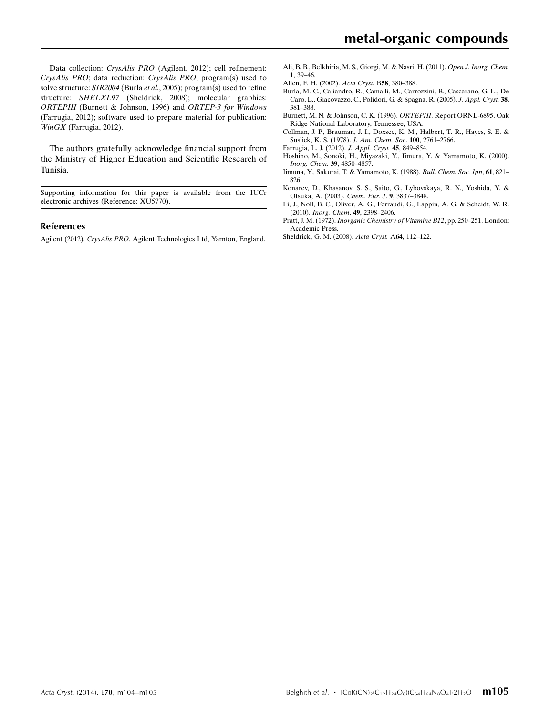Data collection: CrysAlis PRO (Agilent, 2012); cell refinement: CrysAlis PRO; data reduction: CrysAlis PRO; program(s) used to solve structure: SIR2004 (Burla et al., 2005); program(s) used to refine structure: SHELXL97 (Sheldrick, 2008); molecular graphics: ORTEPIII (Burnett & Johnson, 1996) and ORTEP-3 for Windows (Farrugia, 2012); software used to prepare material for publication: WinGX (Farrugia, 2012).

The authors gratefully acknowledge financial support from the Ministry of Higher Education and Scientific Research of Tunisia.

Supporting information for this paper is available from the IUCr electronic archives (Reference: XU5770).

#### References

Agilent (2012). CrysAlis PRO[. Agilent Technologies Ltd, Yarnton, England.](https://scripts.iucr.org/cgi-bin/cr.cgi?rm=pdfbb&cnor=xu5770&bbid=BB1)

- [Ali, B. B., Belkhiria, M. S., Giorgi, M. & Nasri, H. \(2011\).](https://scripts.iucr.org/cgi-bin/cr.cgi?rm=pdfbb&cnor=xu5770&bbid=BB2) Open J. Inorg. Chem. 1[, 39–46.](https://scripts.iucr.org/cgi-bin/cr.cgi?rm=pdfbb&cnor=xu5770&bbid=BB2)
- [Allen, F. H. \(2002\).](https://scripts.iucr.org/cgi-bin/cr.cgi?rm=pdfbb&cnor=xu5770&bbid=BB3) Acta Cryst. B58, 380–388.
- [Burla, M. C., Caliandro, R., Camalli, M., Carrozzini, B., Cascarano, G. L., De](https://scripts.iucr.org/cgi-bin/cr.cgi?rm=pdfbb&cnor=xu5770&bbid=BB4) [Caro, L., Giacovazzo, C., Polidori, G. & Spagna, R. \(2005\).](https://scripts.iucr.org/cgi-bin/cr.cgi?rm=pdfbb&cnor=xu5770&bbid=BB4) J. Appl. Cryst. 38, [381–388.](https://scripts.iucr.org/cgi-bin/cr.cgi?rm=pdfbb&cnor=xu5770&bbid=BB4)
- [Burnett, M. N. & Johnson, C. K. \(1996\).](https://scripts.iucr.org/cgi-bin/cr.cgi?rm=pdfbb&cnor=xu5770&bbid=BB5) ORTEPIII. Report ORNL-6895. Oak [Ridge National Laboratory, Tennessee, USA.](https://scripts.iucr.org/cgi-bin/cr.cgi?rm=pdfbb&cnor=xu5770&bbid=BB5)
- [Collman, J. P., Brauman, J. I., Doxsee, K. M., Halbert, T. R., Hayes, S. E. &](https://scripts.iucr.org/cgi-bin/cr.cgi?rm=pdfbb&cnor=xu5770&bbid=BB6) [Suslick, K. S. \(1978\).](https://scripts.iucr.org/cgi-bin/cr.cgi?rm=pdfbb&cnor=xu5770&bbid=BB6) J. Am. Chem. Soc. 100, 2761–2766.
- [Farrugia, L. J. \(2012\).](https://scripts.iucr.org/cgi-bin/cr.cgi?rm=pdfbb&cnor=xu5770&bbid=BB7) J. Appl. Cryst. 45, 849–854.
- [Hoshino, M., Sonoki, H., Miyazaki, Y., Iimura, Y. & Yamamoto, K. \(2000\).](https://scripts.iucr.org/cgi-bin/cr.cgi?rm=pdfbb&cnor=xu5770&bbid=BB8) [Inorg. Chem.](https://scripts.iucr.org/cgi-bin/cr.cgi?rm=pdfbb&cnor=xu5770&bbid=BB8) 39, 4850–4857. [Iimuna, Y., Sakurai, T. & Yamamoto, K. \(1988\).](https://scripts.iucr.org/cgi-bin/cr.cgi?rm=pdfbb&cnor=xu5770&bbid=BB9) Bull. Chem. Soc. Jpn, 61, 821–
- [826.](https://scripts.iucr.org/cgi-bin/cr.cgi?rm=pdfbb&cnor=xu5770&bbid=BB9)
- [Konarev, D., Khasanov, S. S., Saito, G., Lybovskaya, R. N., Yoshida, Y. &](https://scripts.iucr.org/cgi-bin/cr.cgi?rm=pdfbb&cnor=xu5770&bbid=BB10) [Otsuka, A. \(2003\).](https://scripts.iucr.org/cgi-bin/cr.cgi?rm=pdfbb&cnor=xu5770&bbid=BB10) Chem. Eur. J. 9, 3837–3848.
- [Li, J., Noll, B. C., Oliver, A. G., Ferraudi, G., Lappin, A. G. & Scheidt, W. R.](https://scripts.iucr.org/cgi-bin/cr.cgi?rm=pdfbb&cnor=xu5770&bbid=BB11) (2010). [Inorg. Chem](https://scripts.iucr.org/cgi-bin/cr.cgi?rm=pdfbb&cnor=xu5770&bbid=BB11). 49, 2398–2406.
- Pratt, J. M. (1972). [Inorganic Chemistry of Vitamine B12](https://scripts.iucr.org/cgi-bin/cr.cgi?rm=pdfbb&cnor=xu5770&bbid=BB12), pp. 250–251. London: [Academic Press.](https://scripts.iucr.org/cgi-bin/cr.cgi?rm=pdfbb&cnor=xu5770&bbid=BB12)
- [Sheldrick, G. M. \(2008\).](https://scripts.iucr.org/cgi-bin/cr.cgi?rm=pdfbb&cnor=xu5770&bbid=BB13) Acta Cryst. A64, 112–122.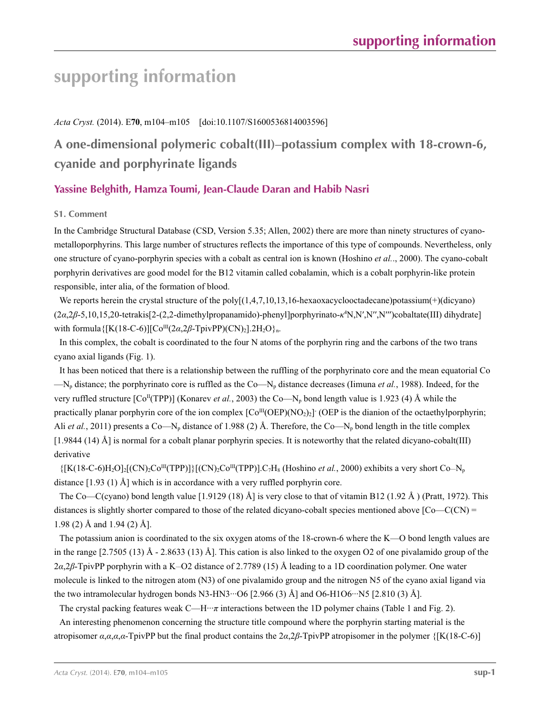# **supporting information**

## *Acta Cryst.* (2014). E**70**, m104–m105 [doi:10.1107/S1600536814003596]

# **A one-dimensional polymeric cobalt(III)–potassium complex with 18-crown-6, cyanide and porphyrinate ligands**

# **Yassine Belghith, Hamza Toumi, Jean-Claude Daran and Habib Nasri**

## **S1. Comment**

In the Cambridge Structural Database (CSD, Version 5.35; Allen, 2002) there are more than ninety structures of cyanometalloporphyrins. This large number of structures reflects the importance of this type of compounds. Nevertheless, only one structure of cyano-porphyrin species with a cobalt as central ion is known (Hoshino *et al.*., 2000). The cyano-cobalt porphyrin derivatives are good model for the B12 vitamin called cobalamin, which is a cobalt porphyrin-like protein responsible, inter alia, of the formation of blood.

We reports herein the crystal structure of the poly $[(1,4,7,10,13,16$ -hexaoxacyclooctadecane)potassium(+)(dicyano) (2*α*,2*β*-5,10,15,20-tetrakis[2-(2,2-dimethylpropanamido)-phenyl]porphyrinato-*κ*<sup>4</sup> N,N′,N′′,N′′′)cobaltate(III) dihydrate] with formula  $\{[K(18-C-6)][\text{Co}^{III}(2\alpha,2\beta-\text{TpivPP})(CN)_2].2H_2O\}_n$ .

In this complex, the cobalt is coordinated to the four N atoms of the porphyrin ring and the carbons of the two trans cyano axial ligands (Fig. 1).

It has been noticed that there is a relationship between the ruffling of the porphyrinato core and the mean equatorial Co —Np distance; the porphyrinato core is ruffled as the Co—Np distance decreases (Iimuna *et al.*, 1988). Indeed, for the very ruffled structure  $[Co<sup>T</sup>(TP)]$  (Konarev *et al.*, 2003) the Co—N<sub>p</sub> bond length value is 1.923 (4) Å while the practically planar porphyrin core of the ion complex  $[Co^{III}(OEP)(NO<sub>2</sub>)<sub>2</sub>]$  (OEP is the dianion of the octaethylporphyrin; Ali *et al.*, 2011) presents a Co—N<sub>p</sub> distance of 1.988 (2) Å. Therefore, the Co—N<sub>p</sub> bond length in the title complex [1.9844 (14) Å] is normal for a cobalt planar porphyrin species. It is noteworthy that the related dicyano-cobalt(III) derivative

 $\{[K(18-C-6)H_2O]_2[(CN)_2Co^{III}(TPP)]\}[(CN)_2Co^{III}(TPP)].C_7H_8$  (Hoshino *et al.*, 2000) exhibits a very short Co-N<sub>p</sub> distance [1.93 (1) Å] which is in accordance with a very ruffled porphyrin core.

The Co—C(cyano) bond length value [1.9129 (18) Å] is very close to that of vitamin B12 (1.92 Å) (Pratt, 1972). This distances is slightly shorter compared to those of the related dicyano-cobalt species mentioned above  $[Co-C(CN)$  = 1.98 (2) Å and 1.94 (2) Å].

The potassium anion is coordinated to the six oxygen atoms of the 18-crown-6 where the K—O bond length values are in the range  $[2.7505 (13)$  Å - 2.8633 (13) Å]. This cation is also linked to the oxygen O2 of one pivalamido group of the 2*α*,2*β*-TpivPP porphyrin with a K\_\_O2 distance of 2.7789 (15) Å leading to a 1D coordination polymer. One water molecule is linked to the nitrogen atom (N3) of one pivalamido group and the nitrogen N5 of the cyano axial ligand via the two intramolecular hydrogen bonds N3-HN3 $\cdot\cdot\cdot$ O6 [2.966 (3) Å] and O6-H1O6 $\cdot\cdot\cdot$ N5 [2.810 (3) Å].

The crystal packing features weak  $C$ —H $\cdot\cdot\pi$  interactions between the 1D polymer chains (Table 1 and Fig. 2).

An interesting phenomenon concerning the structure title compound where the porphyrin starting material is the atropisomer *α*,*α*,*α*,*α*-TpivPP but the final product contains the 2*α*,2*β*-TpivPP atropisomer in the polymer {[K(18-C-6)]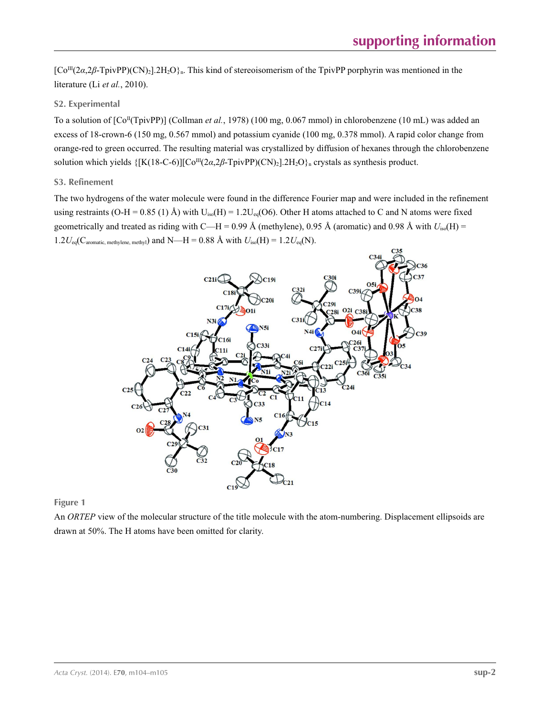[Co<sup>III</sup>(2*α*,2*β*-TpivPP)(CN)<sub>2</sub>].2H<sub>2</sub>O}<sub>n</sub>. This kind of stereoisomerism of the TpivPP porphyrin was mentioned in the literature (Li *et al.*, 2010).

## **S2. Experimental**

To a solution of  $[Co<sup>T</sup>(TipVP)]$  (Collman *et al.*, 1978) (100 mg, 0.067 mmol) in chlorobenzene (10 mL) was added an excess of 18-crown-6 (150 mg, 0.567 mmol) and potassium cyanide (100 mg, 0.378 mmol). A rapid color change from orange-red to green occurred. The resulting material was crystallized by diffusion of hexanes through the chlorobenzene solution which yields  $\{[K(18-C-6)][Co^{III}(2\alpha,2\beta-TpivPP)(CN)_2].2H_2O\}$ <sub>n</sub> crystals as synthesis product.

## **S3. Refinement**

The two hydrogens of the water molecule were found in the difference Fourier map and were included in the refinement using restraints (O-H = 0.85 (1) Å) with  $U_{iso}(H) = 1.2U_{eq}(O6)$ . Other H atoms attached to C and N atoms were fixed geometrically and treated as riding with C—H = 0.99 Å (methylene), 0.95 Å (aromatic) and 0.98 Å with  $U_{iso}(H)$  = 1.2 $U_{eq}(C_{\text{aromatic, methylene, methyl}})$  and N—H = 0.88 Å with  $U_{iso}(H) = 1.2U_{eq}(N)$ .



**Figure 1**

An *ORTEP* view of the molecular structure of the title molecule with the atom-numbering. Displacement ellipsoids are drawn at 50%. The H atoms have been omitted for clarity.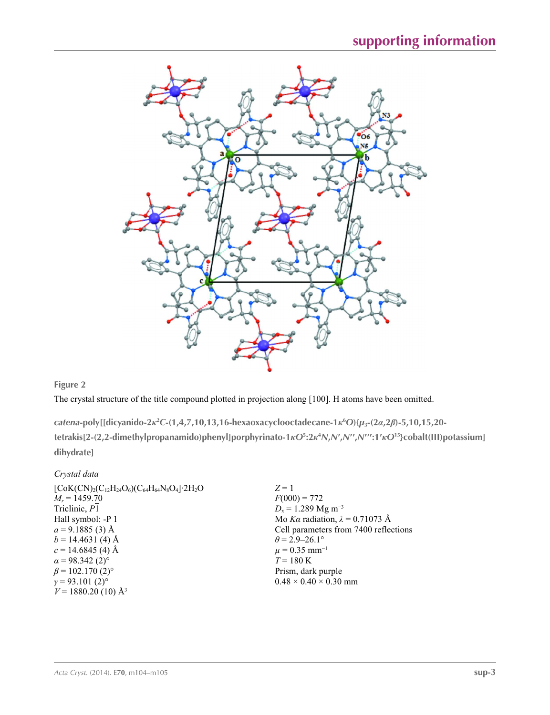

**Figure 2**

The crystal structure of the title compound plotted in projection along [100]. H atoms have been omitted.

*catena***-poly[[dicyanido-2***κ***<sup>2</sup>** *C***-(1,4,7,10,13,16-hexaoxacyclooctadecane-1***κ***<sup>6</sup>** *O***){***µ***3-(2***α***,2***β***)-5,10,15,20** tetrakis[2-(2,2-dimethylpropanamido)phenyl]porphyrinato-1kO<sup>5</sup>:2k<sup>4</sup>N,N',N'',N''':1'kO<sup>15</sup>}cobalt(III)potassium] **dihydrate]** 

| Crystal data                                                                |                                        |
|-----------------------------------------------------------------------------|----------------------------------------|
| $[CoK(CN)_{2}(C_{12}H_{24}O_{6})(C_{64}H_{64}N_{8}O_{4}]$ 2H <sub>2</sub> O | $Z=1$                                  |
| $M_r = 1459.70$                                                             | $F(000) = 772$                         |
| Triclinic, P1                                                               | $D_x = 1.289$ Mg m <sup>-3</sup>       |
| Hall symbol: -P 1                                                           | Mo Ka radiation, $\lambda = 0.71073$ Å |
| $a = 9.1885(3)$ Å                                                           | Cell parameters from 7400 reflections  |
| $b = 14.4631(4)$ Å                                                          | $\theta$ = 2.9–26.1°                   |
| $c = 14.6845$ (4) Å                                                         | $\mu = 0.35$ mm <sup>-1</sup>          |
| $\alpha$ = 98.342 (2) <sup>o</sup>                                          | $T = 180 \text{ K}$                    |
| $\beta$ = 102.170 (2) <sup>o</sup>                                          | Prism, dark purple                     |
| $\gamma = 93.101(2)$ °                                                      | $0.48 \times 0.40 \times 0.30$ mm      |
| $V = 1880.20$ (10) Å <sup>3</sup>                                           |                                        |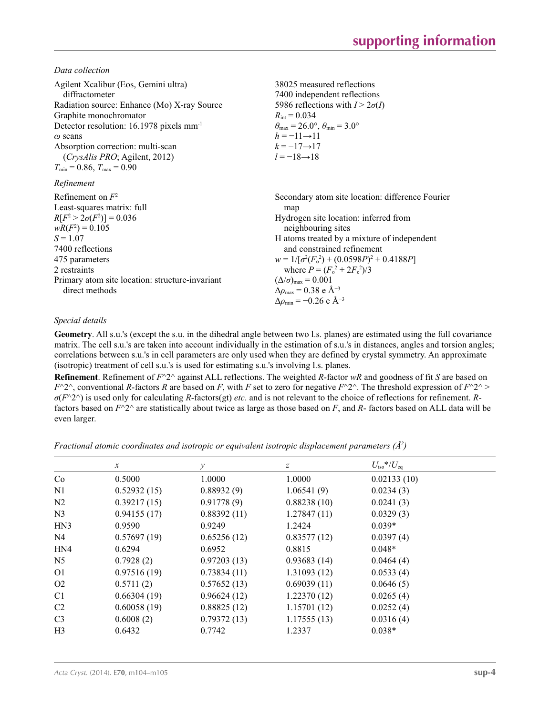*Data collection*

| Agilent Xcalibur (Eos, Gemini ultra)<br>diffractometer<br>Radiation source: Enhance (Mo) X-ray Source<br>Graphite monochromator<br>Detector resolution: 16.1978 pixels mm <sup>-1</sup><br>$\omega$ scans<br>Absorption correction: multi-scan<br><i>(CrysAlis PRO</i> ; Agilent, 2012)<br>$T_{\min}$ = 0.86, $T_{\max}$ = 0.90 | 38025 measured reflections<br>7400 independent reflections<br>5986 reflections with $I > 2\sigma(I)$<br>$R_{\text{int}} = 0.034$<br>$\theta_{\text{max}} = 26.0^{\circ}, \theta_{\text{min}} = 3.0^{\circ}$<br>$h = -11 \rightarrow 11$<br>$k = -17 \rightarrow 17$<br>$l = -18 \rightarrow 18$                                                                                                                                                |
|---------------------------------------------------------------------------------------------------------------------------------------------------------------------------------------------------------------------------------------------------------------------------------------------------------------------------------|------------------------------------------------------------------------------------------------------------------------------------------------------------------------------------------------------------------------------------------------------------------------------------------------------------------------------------------------------------------------------------------------------------------------------------------------|
| Refinement                                                                                                                                                                                                                                                                                                                      |                                                                                                                                                                                                                                                                                                                                                                                                                                                |
| Refinement on $F^2$<br>Least-squares matrix: full<br>$R[F^2 > 2\sigma(F^2)] = 0.036$<br>$wR(F^2) = 0.105$<br>$S = 1.07$<br>7400 reflections<br>475 parameters<br>2 restraints<br>Primary atom site location: structure-invariant<br>direct methods                                                                              | Secondary atom site location: difference Fourier<br>map<br>Hydrogen site location: inferred from<br>neighbouring sites<br>H atoms treated by a mixture of independent<br>and constrained refinement<br>$w = 1/[\sigma^2(F_0^2) + (0.0598P)^2 + 0.4188P]$<br>where $P = (F_o^2 + 2F_c^2)/3$<br>$(\Delta/\sigma)_{\text{max}} = 0.001$<br>$\Delta\rho_{\text{max}} = 0.38$ e Å <sup>-3</sup><br>$\Delta\rho_{\rm min}$ = -0.26 e Å <sup>-3</sup> |

### *Special details*

**Geometry**. All s.u.'s (except the s.u. in the dihedral angle between two l.s. planes) are estimated using the full covariance matrix. The cell s.u.'s are taken into account individually in the estimation of s.u.'s in distances, angles and torsion angles; correlations between s.u.'s in cell parameters are only used when they are defined by crystal symmetry. An approximate (isotropic) treatment of cell s.u.'s is used for estimating s.u.'s involving l.s. planes.

**Refinement**. Refinement of *F*^2^ against ALL reflections. The weighted *R*-factor *wR* and goodness of fit *S* are based on  $F^2$ <sup> $\wedge$ </sup>, conventional *R*-factors *R* are based on *F*, with *F* set to zero for negative  $F^2$ <sup> $\wedge$ </sup>. The threshold expression of  $F^2$ <sup> $\wedge$ </sup> > *σ*(*F*^2^) is used only for calculating *R*-factors(gt) *etc*. and is not relevant to the choice of reflections for refinement. *R*factors based on  $F^{\wedge}2^{\wedge}$  are statistically about twice as large as those based on *F*, and *R*- factors based on ALL data will be even larger.

*Fractional atomic coordinates and isotropic or equivalent isotropic displacement parameters (Å<sup>2</sup>)* 

|                | $\mathcal{X}$ | v           | $\boldsymbol{Z}$ | $U_{\rm iso}$ */ $U_{\rm eq}$ |
|----------------|---------------|-------------|------------------|-------------------------------|
| Co             | 0.5000        | 1.0000      | 1.0000           | 0.02133(10)                   |
| N1             | 0.52932(15)   | 0.88932(9)  | 1.06541(9)       | 0.0234(3)                     |
| N <sub>2</sub> | 0.39217(15)   | 0.91778(9)  | 0.88238(10)      | 0.0241(3)                     |
| N <sub>3</sub> | 0.94155(17)   | 0.88392(11) | 1.27847(11)      | 0.0329(3)                     |
| HN3            | 0.9590        | 0.9249      | 1.2424           | $0.039*$                      |
| N4             | 0.57697(19)   | 0.65256(12) | 0.83577(12)      | 0.0397(4)                     |
| HN4            | 0.6294        | 0.6952      | 0.8815           | $0.048*$                      |
| N <sub>5</sub> | 0.7928(2)     | 0.97203(13) | 0.93683(14)      | 0.0464(4)                     |
| O <sub>1</sub> | 0.97516(19)   | 0.73834(11) | 1.31093(12)      | 0.0533(4)                     |
| O <sub>2</sub> | 0.5711(2)     | 0.57652(13) | 0.69039(11)      | 0.0646(5)                     |
| C <sub>1</sub> | 0.66304(19)   | 0.96624(12) | 1.22370(12)      | 0.0265(4)                     |
| C <sub>2</sub> | 0.60058(19)   | 0.88825(12) | 1.15701(12)      | 0.0252(4)                     |
| C <sub>3</sub> | 0.6008(2)     | 0.79372(13) | 1.17555(13)      | 0.0316(4)                     |
| H <sub>3</sub> | 0.6432        | 0.7742      | 1.2337           | $0.038*$                      |
|                |               |             |                  |                               |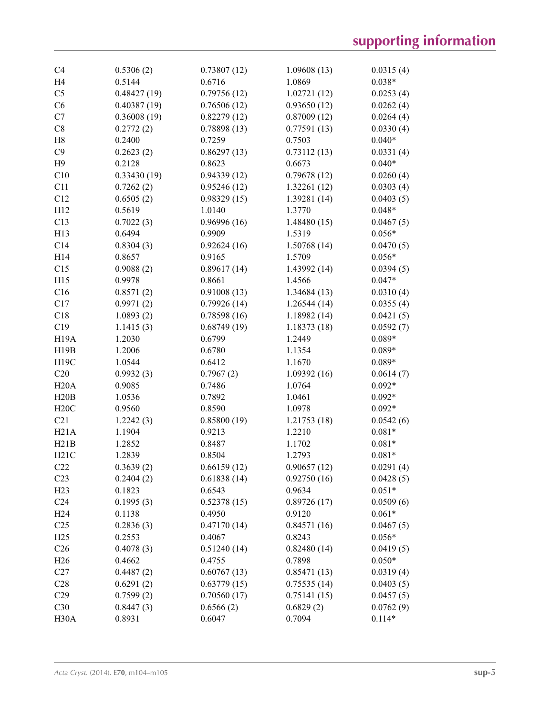| C <sub>4</sub>    | 0.5306(2)   | 0.73807(12) | 1.09608(13)  | 0.0315(4) |
|-------------------|-------------|-------------|--------------|-----------|
| H <sub>4</sub>    | 0.5144      | 0.6716      | 1.0869       | $0.038*$  |
| C <sub>5</sub>    | 0.48427(19) | 0.79756(12) | 1.02721(12)  | 0.0253(4) |
| C6                | 0.40387(19) | 0.76506(12) | 0.93650(12)  | 0.0262(4) |
| C7                | 0.36008(19) | 0.82279(12) | 0.87009(12)  | 0.0264(4) |
| C8                | 0.2772(2)   | 0.78898(13) | 0.77591(13)  | 0.0330(4) |
| H8                | 0.2400      | 0.7259      | 0.7503       | $0.040*$  |
| C9                | 0.2623(2)   | 0.86297(13) | 0.73112(13)  | 0.0331(4) |
| H9                | 0.2128      | 0.8623      | 0.6673       | $0.040*$  |
| C10               | 0.33430(19) | 0.94339(12) | 0.79678(12)  | 0.0260(4) |
| C11               | 0.7262(2)   | 0.95246(12) | 1.32261(12)  | 0.0303(4) |
| C12               | 0.6505(2)   | 0.98329(15) | 1.39281 (14) | 0.0403(5) |
| H12               | 0.5619      | 1.0140      | 1.3770       | $0.048*$  |
| C13               | 0.7022(3)   | 0.96996(16) | 1.48480(15)  | 0.0467(5) |
| H13               | 0.6494      | 0.9909      | 1.5319       | $0.056*$  |
| C14               | 0.8304(3)   | 0.92624(16) | 1.50768(14)  | 0.0470(5) |
| H14               | 0.8657      | 0.9165      | 1.5709       | $0.056*$  |
| C15               | 0.9088(2)   | 0.89617(14) | 1.43992 (14) | 0.0394(5) |
| H15               | 0.9978      | 0.8661      | 1.4566       | $0.047*$  |
| C16               | 0.8571(2)   | 0.91008(13) | 1.34684 (13) | 0.0310(4) |
| C17               | 0.9971(2)   | 0.79926(14) | 1.26544(14)  | 0.0355(4) |
| C18               | 1.0893(2)   | 0.78598(16) | 1.18982(14)  | 0.0421(5) |
| C19               | 1.1415(3)   | 0.68749(19) | 1.18373(18)  | 0.0592(7) |
| <b>H19A</b>       | 1.2030      | 0.6799      | 1.2449       | $0.089*$  |
| H19B              | 1.2006      | 0.6780      | 1.1354       | $0.089*$  |
| H19C              | 1.0544      | 0.6412      | 1.1670       | $0.089*$  |
| C20               | 0.9932(3)   | 0.7967(2)   | 1.09392(16)  | 0.0614(7) |
| H20A              | 0.9085      | 0.7486      | 1.0764       | $0.092*$  |
| H20B              | 1.0536      | 0.7892      | 1.0461       | $0.092*$  |
| H20C              | 0.9560      | 0.8590      | 1.0978       | $0.092*$  |
| C21               | 1.2242(3)   | 0.85800(19) | 1.21753(18)  | 0.0542(6) |
| H21A              | 1.1904      | 0.9213      | 1.2210       | $0.081*$  |
| H21B              | 1.2852      | 0.8487      | 1.1702       | $0.081*$  |
|                   |             | 0.8504      |              |           |
| H21C              | 1.2839      | 0.66159(12) | 1.2793       | $0.081*$  |
| C22               | 0.3639(2)   |             | 0.90657(12)  | 0.0291(4) |
| C <sub>23</sub>   | 0.2404(2)   | 0.61838(14) | 0.92750(16)  | 0.0428(5) |
| H23               | 0.1823      | 0.6543      | 0.9634       | $0.051*$  |
| C <sub>24</sub>   | 0.1995(3)   | 0.52378(15) | 0.89726(17)  | 0.0509(6) |
| H <sub>24</sub>   | 0.1138      | 0.4950      | 0.9120       | $0.061*$  |
| C <sub>25</sub>   | 0.2836(3)   | 0.47170(14) | 0.84571(16)  | 0.0467(5) |
| H <sub>25</sub>   | 0.2553      | 0.4067      | 0.8243       | $0.056*$  |
| C <sub>26</sub>   | 0.4078(3)   | 0.51240(14) | 0.82480(14)  | 0.0419(5) |
| H <sub>26</sub>   | 0.4662      | 0.4755      | 0.7898       | $0.050*$  |
| C27               | 0.4487(2)   | 0.60767(13) | 0.85471(13)  | 0.0319(4) |
| C28               | 0.6291(2)   | 0.63779(15) | 0.75535(14)  | 0.0403(5) |
| C <sub>29</sub>   | 0.7599(2)   | 0.70560(17) | 0.75141(15)  | 0.0457(5) |
| C30               | 0.8447(3)   | 0.6566(2)   | 0.6829(2)    | 0.0762(9) |
| H <sub>30</sub> A | 0.8931      | 0.6047      | 0.7094       | $0.114*$  |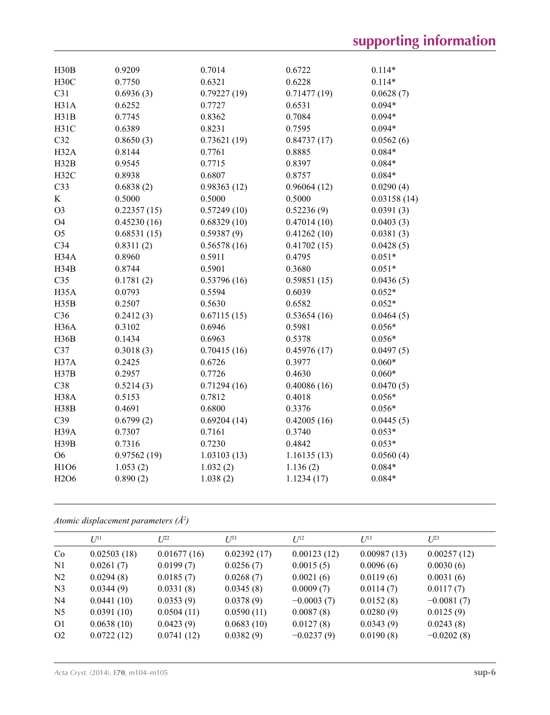| H30B                          | 0.9209      | 0.7014      | 0.6722      | $0.114*$    |
|-------------------------------|-------------|-------------|-------------|-------------|
| H30C                          | 0.7750      | 0.6321      | 0.6228      | $0.114*$    |
| C31                           | 0.6936(3)   | 0.79227(19) | 0.71477(19) | 0.0628(7)   |
| H31A                          | 0.6252      | 0.7727      | 0.6531      | $0.094*$    |
| H31B                          | 0.7745      | 0.8362      | 0.7084      | $0.094*$    |
|                               |             |             |             |             |
| H31C                          | 0.6389      | 0.8231      | 0.7595      | $0.094*$    |
| C32                           | 0.8650(3)   | 0.73621(19) | 0.84737(17) | 0.0562(6)   |
| H <sub>32</sub> A             | 0.8144      | 0.7761      | 0.8885      | $0.084*$    |
| H32B                          | 0.9545      | 0.7715      | 0.8397      | $0.084*$    |
| H32C                          | 0.8938      | 0.6807      | 0.8757      | $0.084*$    |
| C <sub>33</sub>               | 0.6838(2)   | 0.98363(12) | 0.96064(12) | 0.0290(4)   |
| K                             | 0.5000      | 0.5000      | 0.5000      | 0.03158(14) |
| O <sub>3</sub>                | 0.22357(15) | 0.57249(10) | 0.52236(9)  | 0.0391(3)   |
| O <sub>4</sub>                | 0.45230(16) | 0.68329(10) | 0.47014(10) | 0.0403(3)   |
| O <sub>5</sub>                | 0.68531(15) | 0.59387(9)  | 0.41262(10) | 0.0381(3)   |
| C34                           | 0.8311(2)   | 0.56578(16) | 0.41702(15) | 0.0428(5)   |
| H34A                          | 0.8960      | 0.5911      | 0.4795      | $0.051*$    |
| H34B                          | 0.8744      | 0.5901      | 0.3680      | $0.051*$    |
| C35                           | 0.1781(2)   | 0.53796(16) | 0.59851(15) | 0.0436(5)   |
| H <sub>35</sub> A             | 0.0793      | 0.5594      | 0.6039      | $0.052*$    |
| H35B                          | 0.2507      | 0.5630      | 0.6582      | $0.052*$    |
| C <sub>36</sub>               | 0.2412(3)   | 0.67115(15) | 0.53654(16) | 0.0464(5)   |
| H <sub>36</sub> A             | 0.3102      | 0.6946      | 0.5981      | $0.056*$    |
| H36B                          | 0.1434      | 0.6963      | 0.5378      | $0.056*$    |
| C37                           | 0.3018(3)   | 0.70415(16) | 0.45976(17) | 0.0497(5)   |
| H37A                          | 0.2425      | 0.6726      | 0.3977      | $0.060*$    |
| H37B                          | 0.2957      | 0.7726      | 0.4630      | $0.060*$    |
| C38                           | 0.5214(3)   | 0.71294(16) | 0.40086(16) | 0.0470(5)   |
| H <sub>38</sub> A             | 0.5153      | 0.7812      | 0.4018      | $0.056*$    |
| H38B                          | 0.4691      | 0.6800      | 0.3376      | $0.056*$    |
| C39                           | 0.6799(2)   | 0.69204(14) | 0.42005(16) | 0.0445(5)   |
| H <sub>39</sub> A             | 0.7307      | 0.7161      | 0.3740      | $0.053*$    |
| H39B                          | 0.7316      | 0.7230      | 0.4842      | $0.053*$    |
| O <sub>6</sub>                | 0.97562(19) | 1.03103(13) | 1.16135(13) | 0.0560(4)   |
| H1O6                          | 1.053(2)    | 1.032(2)    | 1.136(2)    | $0.084*$    |
| H <sub>2</sub> O <sub>6</sub> | 0.890(2)    | 1.038(2)    | 1.1234(17)  | $0.084*$    |
|                               |             |             |             |             |

### *Atomic displacement parameters (Å2 )*

|                | $U^{11}$    | $L^{22}$    | $U^{33}$    | $I^{12}$     | $U^{13}$    | $L^{23}$     |
|----------------|-------------|-------------|-------------|--------------|-------------|--------------|
| Co             | 0.02503(18) | 0.01677(16) | 0.02392(17) | 0.00123(12)  | 0.00987(13) | 0.00257(12)  |
| N <sub>1</sub> | 0.0261(7)   | 0.0199(7)   | 0.0256(7)   | 0.0015(5)    | 0.0096(6)   | 0.0030(6)    |
| N <sub>2</sub> | 0.0294(8)   | 0.0185(7)   | 0.0268(7)   | 0.0021(6)    | 0.0119(6)   | 0.0031(6)    |
| N <sub>3</sub> | 0.0344(9)   | 0.0331(8)   | 0.0345(8)   | 0.0009(7)    | 0.0114(7)   | 0.0117(7)    |
| N <sub>4</sub> | 0.0441(10)  | 0.0353(9)   | 0.0378(9)   | $-0.0003(7)$ | 0.0152(8)   | $-0.0081(7)$ |
| N <sub>5</sub> | 0.0391(10)  | 0.0504(11)  | 0.0590(11)  | 0.0087(8)    | 0.0280(9)   | 0.0125(9)    |
| O <sub>1</sub> | 0.0638(10)  | 0.0423(9)   | 0.0683(10)  | 0.0127(8)    | 0.0343(9)   | 0.0243(8)    |
| O <sub>2</sub> | 0.0722(12)  | 0.0741(12)  | 0.0382(9)   | $-0.0237(9)$ | 0.0190(8)   | $-0.0202(8)$ |
|                |             |             |             |              |             |              |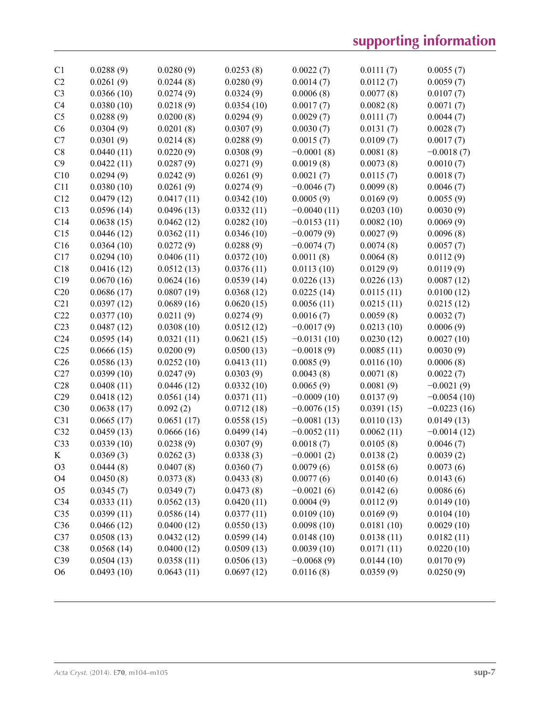# **supporting information**

| C <sub>1</sub>  | 0.0288(9)  | 0.0280(9)  | 0.0253(8)  | 0.0022(7)     | 0.0111(7)  | 0.0055(7)     |
|-----------------|------------|------------|------------|---------------|------------|---------------|
| C2              | 0.0261(9)  | 0.0244(8)  | 0.0280(9)  | 0.0014(7)     | 0.0112(7)  | 0.0059(7)     |
| C <sub>3</sub>  | 0.0366(10) | 0.0274(9)  | 0.0324(9)  | 0.0006(8)     | 0.0077(8)  | 0.0107(7)     |
| C <sub>4</sub>  | 0.0380(10) | 0.0218(9)  | 0.0354(10) | 0.0017(7)     | 0.0082(8)  | 0.0071(7)     |
| C <sub>5</sub>  | 0.0288(9)  | 0.0200(8)  | 0.0294(9)  | 0.0029(7)     | 0.0111(7)  | 0.0044(7)     |
| C6              | 0.0304(9)  | 0.0201(8)  | 0.0307(9)  | 0.0030(7)     | 0.0131(7)  | 0.0028(7)     |
| C7              | 0.0301(9)  | 0.0214(8)  | 0.0288(9)  | 0.0015(7)     | 0.0109(7)  | 0.0017(7)     |
| C8              | 0.0440(11) | 0.0220(9)  | 0.0308(9)  | $-0.0001(8)$  | 0.0081(8)  | $-0.0018(7)$  |
| C9              | 0.0422(11) | 0.0287(9)  | 0.0271(9)  | 0.0019(8)     | 0.0073(8)  | 0.0010(7)     |
| C10             | 0.0294(9)  | 0.0242(9)  | 0.0261(9)  | 0.0021(7)     | 0.0115(7)  | 0.0018(7)     |
| C11             | 0.0380(10) | 0.0261(9)  | 0.0274(9)  | $-0.0046(7)$  | 0.0099(8)  | 0.0046(7)     |
| C12             | 0.0479(12) | 0.0417(11) | 0.0342(10) | 0.0005(9)     | 0.0169(9)  | 0.0055(9)     |
| C13             | 0.0596(14) | 0.0496(13) | 0.0332(11) | $-0.0040(11)$ | 0.0203(10) | 0.0030(9)     |
| C14             | 0.0638(15) | 0.0462(12) | 0.0282(10) | $-0.0153(11)$ | 0.0082(10) | 0.0069(9)     |
| C15             | 0.0446(12) | 0.0362(11) | 0.0346(10) | $-0.0079(9)$  | 0.0027(9)  | 0.0096(8)     |
| C16             | 0.0364(10) | 0.0272(9)  | 0.0288(9)  | $-0.0074(7)$  | 0.0074(8)  | 0.0057(7)     |
| C17             | 0.0294(10) | 0.0406(11) | 0.0372(10) | 0.0011(8)     | 0.0064(8)  | 0.0112(9)     |
| C18             | 0.0416(12) | 0.0512(13) | 0.0376(11) | 0.0113(10)    | 0.0129(9)  | 0.0119(9)     |
| C19             | 0.0670(16) | 0.0624(16) | 0.0539(14) | 0.0226(13)    | 0.0226(13) | 0.0087(12)    |
| C20             | 0.0686(17) | 0.0807(19) | 0.0368(12) | 0.0225(14)    | 0.0115(11) | 0.0100(12)    |
| C21             | 0.0397(12) | 0.0689(16) | 0.0620(15) | 0.0056(11)    | 0.0215(11) | 0.0215(12)    |
| C22             | 0.0377(10) | 0.0211(9)  | 0.0274(9)  | 0.0016(7)     | 0.0059(8)  | 0.0032(7)     |
| C <sub>23</sub> | 0.0487(12) | 0.0308(10) | 0.0512(12) | $-0.0017(9)$  | 0.0213(10) | 0.0006(9)     |
| C <sub>24</sub> | 0.0595(14) | 0.0321(11) | 0.0621(15) | $-0.0131(10)$ | 0.0230(12) | 0.0027(10)    |
| C <sub>25</sub> | 0.0666(15) | 0.0200(9)  | 0.0500(13) | $-0.0018(9)$  | 0.0085(11) | 0.0030(9)     |
| C <sub>26</sub> | 0.0586(13) | 0.0252(10) | 0.0413(11) | 0.0085(9)     | 0.0116(10) | 0.0006(8)     |
| C27             | 0.0399(10) | 0.0247(9)  | 0.0303(9)  | 0.0043(8)     | 0.0071(8)  | 0.0022(7)     |
| C28             | 0.0408(11) | 0.0446(12) | 0.0332(10) | 0.0065(9)     | 0.0081(9)  | $-0.0021(9)$  |
| C29             | 0.0418(12) | 0.0561(14) | 0.0371(11) | $-0.0009(10)$ | 0.0137(9)  | $-0.0054(10)$ |
| C30             | 0.0638(17) | 0.092(2)   | 0.0712(18) | $-0.0076(15)$ | 0.0391(15) | $-0.0223(16)$ |
| C31             | 0.0665(17) | 0.0651(17) | 0.0558(15) | $-0.0081(13)$ | 0.0110(13) | 0.0149(13)    |
| C32             | 0.0459(13) | 0.0666(16) | 0.0499(14) | $-0.0052(11)$ | 0.0062(11) | $-0.0014(12)$ |
| C33             | 0.0339(10) | 0.0238(9)  | 0.0307(9)  | 0.0018(7)     | 0.0105(8)  | 0.0046(7)     |
| K               | 0.0369(3)  | 0.0262(3)  | 0.0338(3)  | $-0.0001(2)$  | 0.0138(2)  | 0.0039(2)     |
| O <sub>3</sub>  | 0.0444(8)  | 0.0407(8)  | 0.0360(7)  | 0.0079(6)     | 0.0158(6)  | 0.0073(6)     |
| O <sub>4</sub>  | 0.0450(8)  | 0.0373(8)  | 0.0433(8)  | 0.0077(6)     | 0.0140(6)  | 0.0143(6)     |
| O <sub>5</sub>  | 0.0345(7)  | 0.0349(7)  | 0.0473(8)  | $-0.0021(6)$  | 0.0142(6)  | 0.0086(6)     |
| C <sub>34</sub> | 0.0333(11) | 0.0562(13) | 0.0420(11) | 0.0004(9)     | 0.0112(9)  | 0.0149(10)    |
| C <sub>35</sub> | 0.0399(11) | 0.0586(14) | 0.0377(11) | 0.0109(10)    | 0.0169(9)  | 0.0104(10)    |
| C36             | 0.0466(12) | 0.0400(12) | 0.0550(13) | 0.0098(10)    | 0.0181(10) | 0.0029(10)    |
| C37             | 0.0508(13) | 0.0432(12) | 0.0599(14) | 0.0148(10)    | 0.0138(11) | 0.0182(11)    |
| C38             | 0.0568(14) | 0.0400(12) | 0.0509(13) | 0.0039(10)    | 0.0171(11) | 0.0220(10)    |
| C39             | 0.0504(13) | 0.0358(11) | 0.0506(13) | $-0.0068(9)$  | 0.0144(10) | 0.0170(9)     |
| O <sub>6</sub>  | 0.0493(10) | 0.0643(11) | 0.0697(12) | 0.0116(8)     | 0.0359(9)  | 0.0250(9)     |
|                 |            |            |            |               |            |               |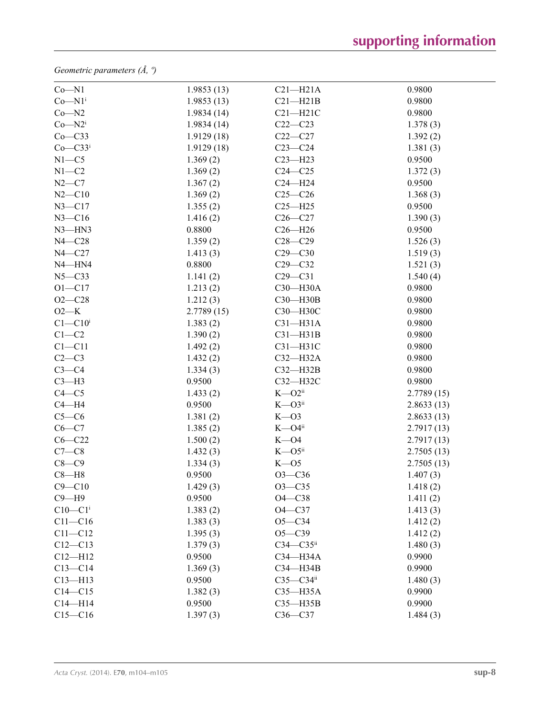*Geometric parameters (Å, º)*

| $Co - N1$                 | 1.9853(13) | $C21 - H21A$           | 0.9800     |
|---------------------------|------------|------------------------|------------|
| $Co - N1$ <sup>i</sup>    | 1.9853(13) | $C21 - H21B$           | 0.9800     |
| $Co-N2$                   | 1.9834(14) | $C21 - H21C$           | 0.9800     |
| $Co - N2i$                | 1.9834(14) | $C22-C23$              | 1.378(3)   |
| Co—C33                    | 1.9129(18) | $C22-C27$              | 1.392(2)   |
| $Co$ – $C33$ <sup>i</sup> | 1.9129(18) | $C23-C24$              | 1.381(3)   |
| $N1 - C5$                 | 1.369(2)   | $C23 - H23$            | 0.9500     |
| $N1 - C2$                 | 1.369(2)   | $C24 - C25$            | 1.372(3)   |
| $N2-C7$                   | 1.367(2)   | $C24 - H24$            | 0.9500     |
| $N2 - C10$                | 1.369(2)   | $C25-C26$              | 1.368(3)   |
| $N3 - C17$                | 1.355(2)   | $C25 - H25$            | 0.9500     |
| $N3 - C16$                | 1.416(2)   | $C26-C27$              | 1.390(3)   |
| $N3$ -HN3                 | 0.8800     | $C26 - H26$            | 0.9500     |
| $N4 - C28$                | 1.359(2)   | $C28 - C29$            | 1.526(3)   |
| $N4 - C27$                | 1.413(3)   | $C29 - C30$            | 1.519(3)   |
| $N4 - HN4$                | 0.8800     | $C29 - C32$            | 1.521(3)   |
| $N5 - C33$                | 1.141(2)   | $C29-C31$              | 1.540(4)   |
| $O1 - C17$                | 1.213(2)   | C30-H30A               | 0.9800     |
| $O2 - C28$                | 1.212(3)   | C30-H30B               | 0.9800     |
| $O2-K$                    | 2.7789(15) | C30-H30C               | 0.9800     |
| $C1 - C10$ <sup>i</sup>   | 1.383(2)   | $C31 - H31A$           | 0.9800     |
| $C1-C2$                   | 1.390(2)   | $C31-H31B$             | 0.9800     |
| $C1 - C11$                | 1.492(2)   | $C31 - H31C$           | 0.9800     |
| $C2-C3$                   | 1.432(2)   | $C32-H32A$             | 0.9800     |
| $C3-C4$                   | 1.334(3)   | $C32-H32B$             | 0.9800     |
| $C3-H3$                   | 0.9500     | C32-H32C               | 0.9800     |
| $C4 - C5$                 | 1.433(2)   | $K - O2$ <sup>ii</sup> | 2.7789(15) |
| $C4 - H4$                 | 0.9500     | $K - O3$ <sup>ii</sup> | 2.8633(13) |
| $C5-C6$                   | 1.381(2)   | $K - O3$               | 2.8633(13) |
| $C6-C7$                   | 1.385(2)   | $K - O4$ <sup>ii</sup> | 2.7917(13) |
| $C6 - C22$                | 1.500(2)   | $K - O4$               | 2.7917(13) |
| $C7-C8$                   | 1.432(3)   | $K - O5$ <sup>ii</sup> | 2.7505(13) |
| $C8-C9$                   | 1.334(3)   | $K - 05$               | 2.7505(13) |
| $C8 - H8$                 | 0.9500     | $O3 - C36$             | 1.407(3)   |
| $C9 - C10$                | 1.429(3)   | $O3 - C35$             | 1.418(2)   |
| $C9 - H9$                 | 0.9500     | $O4 - C38$             | 1.411(2)   |
| $C10-C1$ <sup>i</sup>     | 1.383(2)   | $O4 - C37$             | 1.413(3)   |
| $C11 - C16$               | 1.383(3)   | $O5 - C34$             | 1.412(2)   |
| $C11 - C12$               | 1.395(3)   | $O5 - C39$             | 1.412(2)   |
| $C12 - C13$               | 1.379(3)   | $C34 - C35$ ii         | 1.480(3)   |
| $C12 - H12$               | 0.9500     | C34-H34A               | 0.9900     |
| $C13-C14$                 | 1.369(3)   | C34-H34B               | 0.9900     |
| $C13 - H13$               | 0.9500     | $C35-C34ii$            | 1.480(3)   |
| $C14 - C15$               | 1.382(3)   | $C35 - H35A$           | 0.9900     |
| $C14 - H14$               | 0.9500     | $C35 - H35B$           | 0.9900     |
| $C15 - C16$               | 1.397(3)   | $C36-C37$              | 1.484(3)   |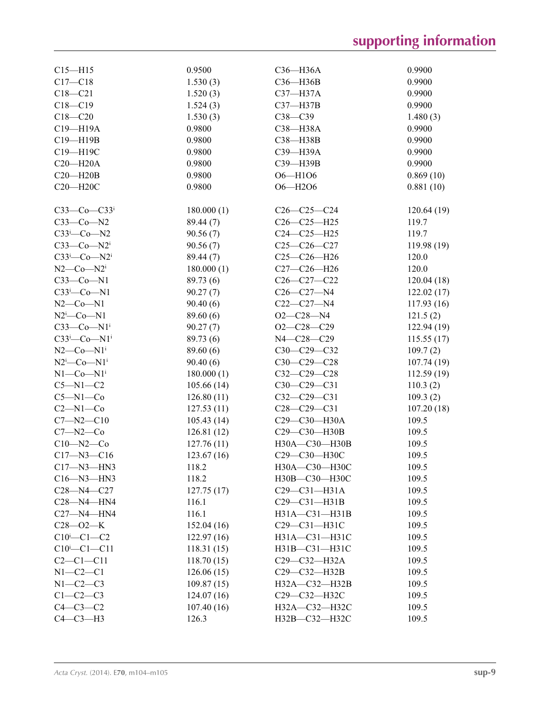# **supporting information**

| $C15 - H15$                     | 0.9500     | C36-H36A            | 0.9900     |
|---------------------------------|------------|---------------------|------------|
| $C17 - C18$                     | 1.530(3)   | $C36 - H36B$        | 0.9900     |
| $C18 - C21$                     | 1.520(3)   | C37-H37A            | 0.9900     |
| $C18 - C19$                     | 1.524(3)   | C37-H37B            | 0.9900     |
| $C18 - C20$                     | 1.530(3)   | $C38-C39$           | 1.480(3)   |
| C19-H19A                        | 0.9800     | C38-H38A            | 0.9900     |
| C19-H19B                        | 0.9800     | C38-H38B            | 0.9900     |
|                                 |            |                     | 0.9900     |
| C19-H19C                        | 0.9800     | C39-H39A            |            |
| $C20 - H20A$                    | 0.9800     | C39-H39B            | 0.9900     |
| $C20 - H20B$                    | 0.9800     | O6-H1O6             | 0.869(10)  |
| C20-H20C                        | 0.9800     | O6-H2O6             | 0.881(10)  |
|                                 |            |                     |            |
| $C33-C0-C33$                    | 180.000(1) | $C26-C25-C24$       | 120.64(19) |
| $C33-Co-N2$                     | 89.44 (7)  | $C26-C25-H25$       | 119.7      |
| $C33^i$ -Co-N2                  | 90.56(7)   | $C24-C25-H25$       | 119.7      |
| $C33-Co-N2i$                    | 90.56(7)   | $C25-C26-C27$       | 119.98(19) |
| $C33^i$ -Co-N2 <sup>i</sup>     | 89.44 (7)  | $C25-C26-H26$       | 120.0      |
| $N2$ — $Co$ — $N2$ <sup>i</sup> | 180.000(1) | $C27-C26-H26$       | 120.0      |
| $C33-Co-N1$                     | 89.73 (6)  | $C26-C27-C22$       | 120.04(18) |
| $C33^i$ -Co-N1                  | 90.27(7)   | $C26 - C27 - N4$    | 122.02(17) |
| $N2$ –Co– $N1$                  | 90.40(6)   | $C22-C27 - N4$      | 117.93(16) |
| $N2^i$ -Co-N1                   | 89.60 (6)  | $O2 - C28 - N4$     | 121.5(2)   |
| $C33-Co-N1i$                    | 90.27(7)   | $O2-C28-C29$        | 122.94(19) |
|                                 |            |                     |            |
| $C33^i$ -Co-N1 <sup>i</sup>     | 89.73 (6)  | N4-C28-C29          | 115.55(17) |
| $N2$ — $Co$ — $N1$ <sup>i</sup> | 89.60 (6)  | C30-C29-C32         | 109.7(2)   |
| $N2^i$ -Co- $N1^i$              | 90.40(6)   | $C30-C29-C28$       | 107.74(19) |
| $N1$ — $Co$ — $N1$ <sup>i</sup> | 180.000(1) | $C32-C29-C28$       | 112.59(19) |
| $C5 - N1 - C2$                  | 105.66(14) | $C30-C29-C31$       | 110.3(2)   |
| $C5 - N1 - Co$                  | 126.80(11) | $C32-C29-C31$       | 109.3(2)   |
| $C2-M1-Co$                      | 127.53(11) | $C28 - C29 - C31$   | 107.20(18) |
| $C7 - N2 - C10$                 | 105.43(14) | C29-C30-H30A        | 109.5      |
| $C7 - N2 - C0$                  | 126.81(12) | C29-C30-H30B        | 109.5      |
| $C10 - N2 - C0$                 | 127.76(11) | H30A-C30-H30B       | 109.5      |
| $C17 - N3 - C16$                | 123.67(16) | С29-С30-Н30С        | 109.5      |
| $C17 - N3 - HN3$                | 118.2      | H30A-C30-H30C       | 109.5      |
| $C16 - N3 - HN3$                | 118.2      | H30B-C30-H30C       | 109.5      |
| $C28 - N4 - C27$                | 127.75(17) | $C29-C31-H31A$      | 109.5      |
| $C28 - N4 - HN4$                | 116.1      | $C29-C31-H31B$      | 109.5      |
| $C27 - N4 - HN4$                | 116.1      | H31A-C31-H31B       | 109.5      |
|                                 |            |                     |            |
| $C28 - 02 - K$                  | 152.04(16) | C29-C31-H31C        | 109.5      |
| $C10^i$ - $C1$ - $C2$           | 122.97(16) | H31A-C31-H31C       | 109.5      |
| $C10^{i} - C1 - C11$            | 118.31(15) | H31B-C31-H31C       | 109.5      |
| $C2 - C1 - C11$                 | 118.70(15) | C29-C32-H32A        | 109.5      |
| $N1-C2-C1$                      | 126.06(15) | C29-C32-H32B        | 109.5      |
| $N1-C2-C3$                      | 109.87(15) | $H32A - C32 - H32B$ | 109.5      |
| $C1-C2-C3$                      | 124.07(16) | C29-C32-H32C        | 109.5      |
| $C4-C3-C2$                      | 107.40(16) | H32A-C32-H32C       | 109.5      |
| $C4-C3-H3$                      | 126.3      | НЗ2В-С32-НЗ2С       | 109.5      |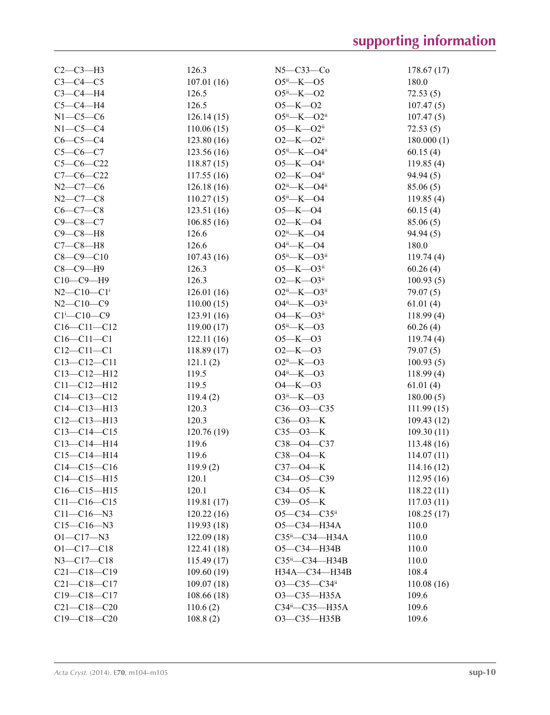| $C2-C3-H3$                   | 126.3      | $N5 - C33 - C0$                | 178.67(17)               |
|------------------------------|------------|--------------------------------|--------------------------|
| $C3-C4-C5$                   | 107.01(16) | $O5^{ii}$ —K— $O5$             | 180.0                    |
| $C3-C4-H4$                   | 126.5      | $O5^{ii}$ -K- $O2$             | 72.53(5)                 |
| $C5-C4-H4$                   | 126.5      | $O5 - K - O2$                  | 107.47(5)                |
| $N1-C5-C6$                   | 126.14(15) | $O5^{ii}$ —K— $O2^{ii}$        | 107.47(5)                |
| $N1-C5-C4$                   | 110.06(15) | $O5 - K - O2$ <sup>ii</sup>    | 72.53(5)                 |
| $C6-C5-C4$                   | 123.80(16) | $O2 - K - O2$ <sup>ii</sup>    | 180.000(1)               |
| $C5-C6-C7$                   | 123.56(16) | $O5^{ii}$ -K- $O4^{ii}$        | 60.15(4)                 |
| $C5-C6-C22$                  | 118.87(15) | $O5 - K - O4$ <sup>ii</sup>    | 119.85(4)                |
| $C7-C6-C22$                  | 117.55(16) | $O2$ —K— $O4$ <sup>ii</sup>    | 94.94(5)                 |
| $N2 - C7 - C6$               | 126.18(16) | $O2^{ii}$ -K- $O4^{ii}$        | 85.06(5)                 |
| $N2 - C7 - C8$               | 110.27(15) | $O5^{ii}$ —K—O4                | 119.85(4)                |
| $C6-C7-C8$                   | 123.51(16) | $O5 - K - O4$                  | 60.15(4)                 |
| $C9 - C8 - C7$               | 106.85(16) | $O2 - K - O4$                  | 85.06(5)                 |
| $C9 - C8 - H8$               | 126.6      | $O2ii$ -K- $O4$                | 94.94(5)                 |
| $C7-C8-H8$                   | 126.6      | $O4^{ii}$ -K- $O4$             | 180.0                    |
| $C8 - C9 - C10$              | 107.43(16) | $O5^{ii}$ —K— $O3^{ii}$        | 119.74(4)                |
| $C8-C9-H9$                   | 126.3      | $O5 - K - O3$ ii               | 60.26(4)                 |
| $C10-C9-H9$                  | 126.3      | $O2 - K - O3$ <sup>ii</sup>    | 100.93(5)                |
| $N2 - C10 - C1$ <sup>i</sup> | 126.01(16) | $O2^{ii}$ -K- $O3^{ii}$        | 79.07(5)                 |
| $N2 - C10 - C9$              | 110.00(15) | $O4^{ii}$ —K— $O3^{ii}$        | 61.01(4)                 |
| $C1 - C10 - C9$              | 123.91(16) | $O4 - K - O3$ <sup>ii</sup>    | 118.99(4)                |
| $C16 - C11 - C12$            | 119.00(17) | $O5^{ii}$ —K— $O3$             | 60.26(4)                 |
| $C16 - C11 - C1$             | 122.11(16) | $O5 - K - O3$                  | 119.74(4)                |
| $C12 - C11 - C1$             | 118.89(17) | $O2 - K - O3$                  | 79.07(5)                 |
| $C13 - C12 - C11$            | 121.1(2)   | $O2ii$ -K- $O3$                | 100.93(5)                |
| $C13 - C12 - H12$            | 119.5      | $O4^{ii}$ -K- $O3$             | 118.99(4)                |
| $C11 - C12 - H12$            | 119.5      | $O4 - K - O3$                  | 61.01(4)                 |
| $C14 - C13 - C12$            | 119.4(2)   | $O3^{ii}$ —K— $O3$             | 180.00(5)                |
| $C14 - C13 - H13$            | 120.3      | $C36 - 03 - C35$               | 111.99(15)               |
| $C12 - C13 - H13$            | 120.3      | $C36 - O3 - K$                 | 109.43(12)               |
| $C13 - C14 - C15$            | 120.76(19) | $C35 - O3 - K$                 | 109.30(11)               |
| $C13-C14-H14$                | 119.6      | C38-O4-C37                     | 113.48(16)               |
| $C15-C14-H14$                | 119.6      | $C38 - O4 - K$                 | 114.07(11)               |
| $C14 - C15 - C16$            | 119.9(2)   | $C37 - O4 - K$                 | 114.16(12)               |
| $C14 - C15 - H15$            | 120.1      | $C34 - 05 - C39$               |                          |
| $C16 - C15 - H15$            | 120.1      | $C34 - 05 - K$                 | 112.95(16)               |
| $C11 - C16 - C15$            |            | $C39 - 05 - K$                 | 118.22(11)               |
| $C11 - C16 - N3$             | 119.81(17) | O5-C34-C35ii                   | 117.03(11)<br>108.25(17) |
| $C15-C16-N3$                 | 120.22(16) | O5-C34-H34A                    |                          |
|                              | 119.93(18) |                                | 110.0                    |
| $O1 - C17 - N3$              | 122.09(18) | C35ii-C34-H34A                 | 110.0                    |
| $O1 - C17 - C18$             | 122.41(18) | O5-C34-H34B                    | 110.0                    |
| $N3 - C17 - C18$             | 115.49(17) | $C35^{\text{ii}} - C34 - H34B$ | 110.0                    |
| $C21 - C18 - C19$            | 109.60(19) | H34A-C34-H34B                  | 108.4                    |
| $C21 - C18 - C17$            | 109.07(18) | O3-C35-C34ii                   | 110.08(16)               |
| $C19 - C18 - C17$            | 108.66(18) | O3-C35-H35A                    | 109.6                    |
| $C21 - C18 - C20$            | 110.6(2)   | $C34^{\text{ii}} - C35 - H35A$ | 109.6                    |
| $C19 - C18 - C20$            | 108.8(2)   | O3-C35-H35B                    | 109.6                    |